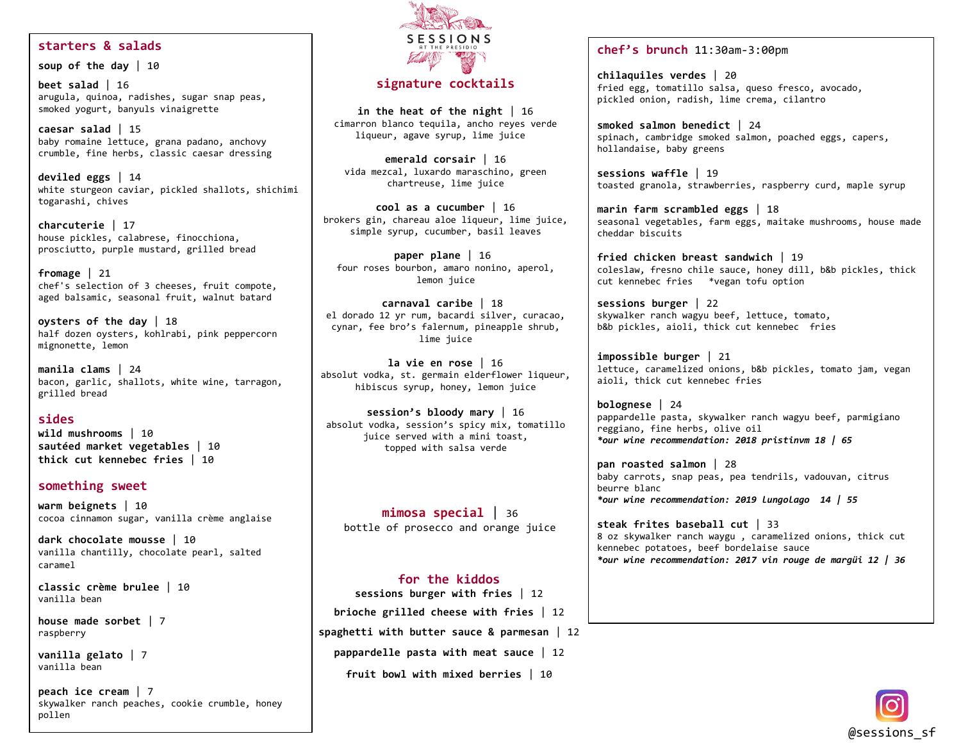### **starters & salads**

**soup of the day** | 10

**beet salad** | 16 arugula, quinoa, radishes, sugar snap peas, smoked yogurt, banyuls vinaigrette

**caesar salad** | 15 baby romaine lettuce, grana padano, anchovy crumble, fine herbs, classic caesar dressing

**deviled eggs** | 14 white sturgeon caviar, pickled shallots, shichimi togarashi, chives

**charcuterie** | 17 house pickles, calabrese, finocchiona, prosciutto, purple mustard, grilled bread

**fromage** | 21 chef's selection of 3 cheeses, fruit compote, aged balsamic, seasonal fruit, walnut batard

**oysters of the day** | 18 half dozen oysters, kohlrabi, pink peppercorn mignonette, lemon

**manila clams** | 24 bacon, garlic, shallots, white wine, tarragon, grilled bread

**sides wild mushrooms** | 10 **sautéed market vegetables** | 10

**thick cut kennebec fries** | 10

#### **something sweet**

**warm beignets** | 10 cocoa cinnamon sugar, vanilla crème anglaise

**dark chocolate mousse** | 10 vanilla chantilly, chocolate pearl, salted caramel

**classic crème brulee** | 10 vanilla bean

**house made sorbet** | 7 raspberry

**vanilla gelato** | 7 vanilla bean

**peach ice cream** | 7 skywalker ranch peaches, cookie crumble, honey pollen



# **signature cocktails**

**in the heat of the night** | 16 cimarron blanco tequila, ancho reyes verde liqueur, agave syrup, lime juice

**emerald corsair** | 16 vida mezcal, luxardo maraschino, green chartreuse, lime juice

**cool as a cucumber** | 16 brokers gin, chareau aloe liqueur, lime juice, simple syrup, cucumber, basil leaves

**paper plane** | 16 four roses bourbon, amaro nonino, aperol, lemon juice

**carnaval caribe** | 18 el dorado 12 yr rum, bacardi silver, curacao, cynar, fee bro's falernum, pineapple shrub, lime juice

**la vie en rose** | 16 absolut vodka, st. germain elderflower liqueur, hibiscus syrup, honey, lemon juice

**session's bloody mary** | 16 absolut vodka, session's spicy mix, tomatillo juice served with a mini toast, topped with salsa verde

**mimosa special** | 36 bottle of prosecco and orange juice

### **for the kiddos**

**sessions burger with fries** | 12 **brioche grilled cheese with fries** | 12 **spaghetti with butter sauce & parmesan** | 12

**pappardelle pasta with meat sauce** | 12

**fruit bowl with mixed berries** | 10

#### **chef's brunch** 11:30am-3:00pm

**chilaquiles verdes** | 20 fried egg, tomatillo salsa, queso fresco, avocado, pickled onion, radish, lime crema, cilantro

**smoked salmon benedict** | 24 spinach, cambridge smoked salmon, poached eggs, capers, hollandaise, baby greens

**sessions waffle** | 19 toasted granola, strawberries, raspberry curd, maple syrup

**marin farm scrambled eggs** | 18 seasonal vegetables, farm eggs, maitake mushrooms, house made cheddar biscuits

**fried chicken breast sandwich** | 19 coleslaw, fresno chile sauce, honey dill, b&b pickles, thick cut kennebec fries \*vegan tofu option

**sessions burger** | 22 skywalker ranch wagyu beef, lettuce, tomato, b&b pickles, aioli, thick cut kennebec fries

**impossible burger** | 21 lettuce, caramelized onions, b&b pickles, tomato jam, vegan aioli, thick cut kennebec fries

**bolognese** | 24 pappardelle pasta, skywalker ranch wagyu beef, parmigiano reggiano, fine herbs, olive oil *\*our wine recommendation: 2018 pristinvm 18 | 65*

**pan roasted salmon** | 28 baby carrots, snap peas, pea tendrils, vadouvan, citrus beurre blanc *\*our wine recommendation: 2019 lungolago 14 | 55*

**steak frites baseball cut** | 33 8 oz skywalker ranch waygu , caramelized onions, thick cut kennebec potatoes, beef bordelaise sauce *\*our wine recommendation: 2017 vin rouge de margüi 12 | 36*